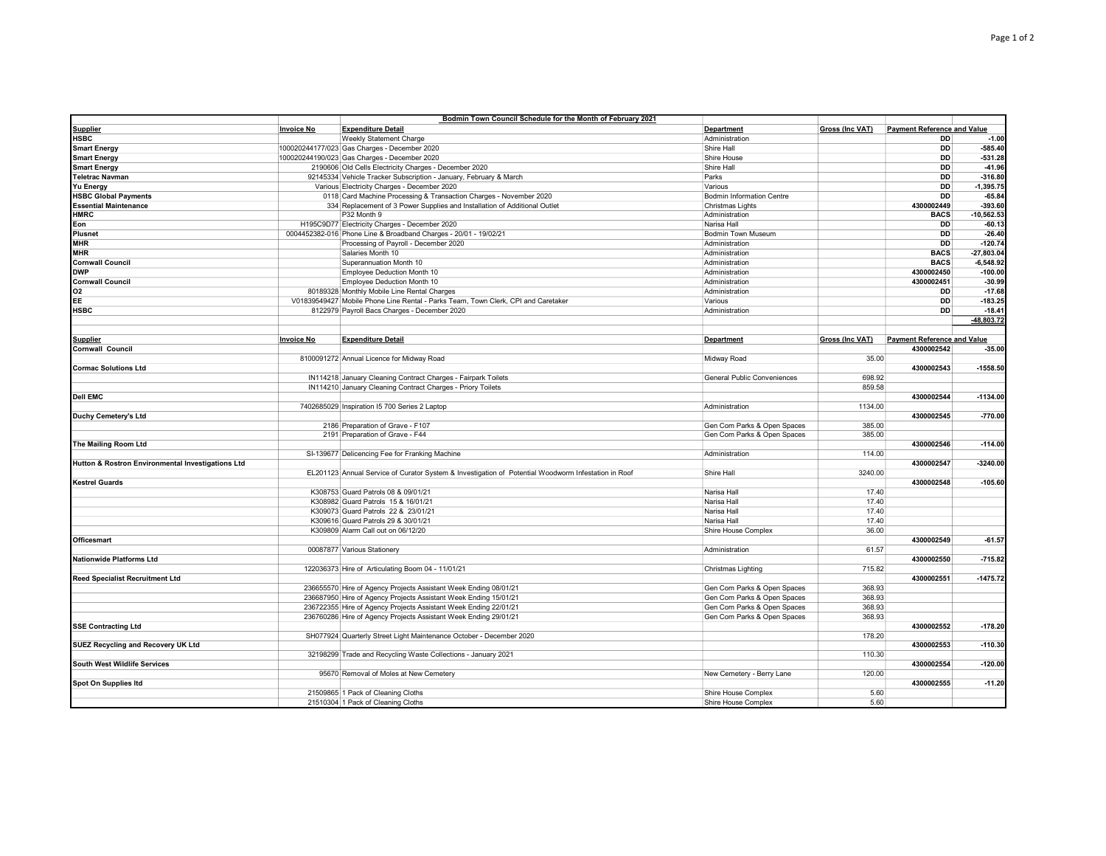|                                                   |                   | Bodmin Town Council Schedule for the Month of February 2021                                         |                             |                 |                                    |              |
|---------------------------------------------------|-------------------|-----------------------------------------------------------------------------------------------------|-----------------------------|-----------------|------------------------------------|--------------|
| <b>Supplier</b>                                   | <b>Invoice No</b> | <b>Expenditure Detail</b>                                                                           | Department                  | Gross (Inc VAT) | <b>Payment Reference and Value</b> |              |
| <b>HSBC</b>                                       |                   | Weekly Statement Charge                                                                             | Administration              |                 | <b>DD</b>                          | $-1.00$      |
| <b>Smart Energy</b>                               |                   | 100020244177/023 Gas Charges - December 2020                                                        | Shire Hall                  |                 | <b>DD</b>                          | $-585.40$    |
| <b>Smart Energy</b>                               |                   | 100020244190/023 Gas Charges - December 2020                                                        | Shire House                 |                 | <b>DD</b>                          | $-531.28$    |
| <b>Smart Energy</b>                               |                   | 2190606 Old Cells Electricity Charges - December 2020                                               | Shire Hall                  |                 | <b>DD</b>                          | $-41.96$     |
| <b>Teletrac Navman</b>                            |                   | 92145334 Vehicle Tracker Subscription - January, February & March                                   | Parks                       |                 | <b>DD</b>                          | $-316.80$    |
| <b>Yu Energy</b>                                  |                   | Various Electricity Charges - December 2020                                                         | Various                     |                 | <b>DD</b>                          | $-1,395.75$  |
|                                                   |                   | 0118 Card Machine Processing & Transaction Charges - November 2020                                  | Bodmin Information Centre   |                 | <b>DD</b>                          | $-65.84$     |
| <b>HSBC Global Payments</b>                       |                   |                                                                                                     |                             |                 | 4300002449                         | $-393.60$    |
| <b>Essential Maintenance</b>                      |                   | 334 Replacement of 3 Power Supplies and Installation of Additional Outlet                           | Christmas Lights            |                 |                                    |              |
| <b>HMRC</b>                                       |                   | P32 Month 9                                                                                         | Administration              |                 | <b>BACS</b>                        | $-10,562.53$ |
| Eon                                               |                   | H195C9D77 Electricity Charges - December 2020                                                       | Narisa Hall                 |                 | <b>DD</b>                          | $-60.13$     |
| <b>Plusnet</b>                                    |                   | 0004452382-016 Phone Line & Broadband Charges - 20/01 - 19/02/21                                    | Bodmin Town Museum          |                 | <b>DD</b>                          | $-26.40$     |
| <b>MHR</b>                                        |                   | Processing of Payroll - December 2020                                                               | Administration              |                 | DD                                 | $-120.74$    |
| <b>MHR</b>                                        |                   | Salaries Month 10                                                                                   | Administration              |                 | <b>BACS</b>                        | $-27,803.04$ |
| <b>Cornwall Council</b>                           |                   | Superannuation Month 10                                                                             | Administration              |                 | <b>BACS</b>                        | $-6,548.92$  |
| <b>DWP</b>                                        |                   | Employee Deduction Month 10                                                                         | Administration              |                 | 4300002450                         | $-100.00$    |
| <b>Cornwall Council</b>                           |                   | Employee Deduction Month 10                                                                         | Administration              |                 | 4300002451                         | $-30.99$     |
| Ο2                                                |                   | 80189328 Monthly Mobile Line Rental Charges                                                         | Administration              |                 | DD                                 | $-17.68$     |
| EE                                                |                   | V01839549427 Mobile Phone Line Rental - Parks Team, Town Clerk, CPI and Caretaker                   | Various                     |                 | <b>DD</b>                          | $-183.25$    |
| <b>HSBC</b>                                       |                   | 8122979 Payroll Bacs Charges - December 2020                                                        | Administration              |                 | DD                                 | $-18.41$     |
|                                                   |                   |                                                                                                     |                             |                 |                                    | -48.803.72   |
|                                                   |                   |                                                                                                     |                             |                 |                                    |              |
| <b>Supplier</b>                                   | <b>Invoice No</b> | <b>Expenditure Detail</b>                                                                           | Department                  | Gross (Inc VAT) | <b>Payment Reference and Value</b> |              |
| Cornwall Council                                  |                   |                                                                                                     |                             |                 | 4300002542                         | $-35.00$     |
|                                                   |                   |                                                                                                     |                             | 35.00           |                                    |              |
|                                                   |                   | 8100091272 Annual Licence for Midway Road                                                           | Midway Road                 |                 |                                    |              |
| <b>Cormac Solutions Ltd</b>                       |                   |                                                                                                     |                             |                 | 4300002543                         | $-1558.50$   |
|                                                   |                   | IN114218 January Cleaning Contract Charges - Fairpark Toilets                                       | General Public Conveniences | 698.92          |                                    |              |
|                                                   |                   | IN114210 January Cleaning Contract Charges - Priory Toilets                                         |                             | 859.58          |                                    |              |
| <b>Dell EMC</b>                                   |                   |                                                                                                     |                             |                 | 4300002544                         | $-1134.00$   |
|                                                   |                   | 7402685029 Inspiration I5 700 Series 2 Laptop                                                       | Administration              | 1134.00         |                                    |              |
| <b>Duchy Cemetery's Ltd</b>                       |                   |                                                                                                     |                             |                 | 4300002545                         | $-770.00$    |
|                                                   |                   | 2186 Preparation of Grave - F107                                                                    | Gen Com Parks & Open Spaces | 385.00          |                                    |              |
|                                                   |                   | 2191 Preparation of Grave - F44                                                                     | Gen Com Parks & Open Spaces | 385.00          |                                    |              |
| The Mailing Room Ltd                              |                   |                                                                                                     |                             |                 | 4300002546                         | $-114.00$    |
|                                                   |                   | SI-139677 Delicencing Fee for Franking Machine                                                      | Administration              | 114.00          |                                    |              |
| Hutton & Rostron Environmental Investigations Ltd |                   |                                                                                                     |                             |                 | 4300002547                         | $-3240.00$   |
|                                                   |                   | EL201123 Annual Service of Curator System & Investigation of Potential Woodworm Infestation in Roof | Shire Hall                  | 3240.00         |                                    |              |
| <b>Kestrel Guards</b>                             |                   |                                                                                                     |                             |                 | 4300002548                         | $-105.60$    |
|                                                   |                   | K308753 Guard Patrols 08 & 09/01/21                                                                 | Narisa Hall                 | 17.40           |                                    |              |
|                                                   |                   | K308982 Guard Patrols 15 & 16/01/21                                                                 | Narisa Hall                 | 17.40           |                                    |              |
|                                                   |                   |                                                                                                     |                             |                 |                                    |              |
|                                                   |                   | K309073 Guard Patrols 22 & 23/01/21                                                                 | Narisa Hall                 | 17.40           |                                    |              |
|                                                   |                   | K309616 Guard Patrols 29 & 30/01/21                                                                 | Narisa Hall                 | 17.40           |                                    |              |
|                                                   |                   | K309809 Alarm Call out on 06/12/20                                                                  | Shire House Complex         | 36.00           |                                    |              |
| Officesmart                                       |                   |                                                                                                     |                             |                 | 4300002549                         | $-61.57$     |
|                                                   |                   | 00087877 Various Stationery                                                                         | Administration              | 61.57           |                                    |              |
| <b>Nationwide Platforms Ltd</b>                   |                   |                                                                                                     |                             |                 | 4300002550                         | $-715.82$    |
|                                                   |                   | 122036373 Hire of Articulating Boom 04 - 11/01/21                                                   | Christmas Lighting          | 715.82          |                                    |              |
| <b>Reed Specialist Recruitment Ltd</b>            |                   |                                                                                                     |                             |                 | 4300002551                         | $-1475.72$   |
|                                                   |                   | 236655570 Hire of Agency Projects Assistant Week Ending 08/01/21                                    | Gen Com Parks & Open Spaces | 368.93          |                                    |              |
|                                                   |                   | 236687950 Hire of Agency Projects Assistant Week Ending 15/01/21                                    | Gen Com Parks & Open Spaces | 368.93          |                                    |              |
|                                                   |                   | 236722355 Hire of Agency Projects Assistant Week Ending 22/01/21                                    | Gen Com Parks & Open Spaces | 368.93          |                                    |              |
|                                                   |                   | 236760286 Hire of Agency Projects Assistant Week Ending 29/01/21                                    | Gen Com Parks & Open Spaces | 368.93          |                                    |              |
| <b>SSE Contracting Ltd</b>                        |                   |                                                                                                     |                             |                 | 4300002552                         | $-178.20$    |
|                                                   |                   | SH077924 Quarterly Street Light Maintenance October - December 2020                                 |                             | 178.20          |                                    |              |
| SUEZ Recycling and Recovery UK Ltd                |                   |                                                                                                     |                             |                 | 4300002553                         | $-110.30$    |
|                                                   |                   | 32198299 Trade and Recycling Waste Collections - January 2021                                       |                             | 110.30          |                                    |              |
| <b>South West Wildlife Services</b>               |                   |                                                                                                     |                             |                 | 4300002554                         | $-120.00$    |
|                                                   |                   |                                                                                                     |                             | 120.00          |                                    |              |
|                                                   |                   | 95670 Removal of Moles at New Cemetery                                                              | New Cemetery - Berry Lane   |                 | 4300002555                         | $-11.20$     |
| Spot On Supplies Itd                              |                   |                                                                                                     |                             |                 |                                    |              |
|                                                   |                   | 21509865 1 Pack of Cleaning Cloths                                                                  | Shire House Complex         | 5.60            |                                    |              |
|                                                   |                   | 21510304 1 Pack of Cleaning Cloths                                                                  | Shire House Complex         | 5.60            |                                    |              |